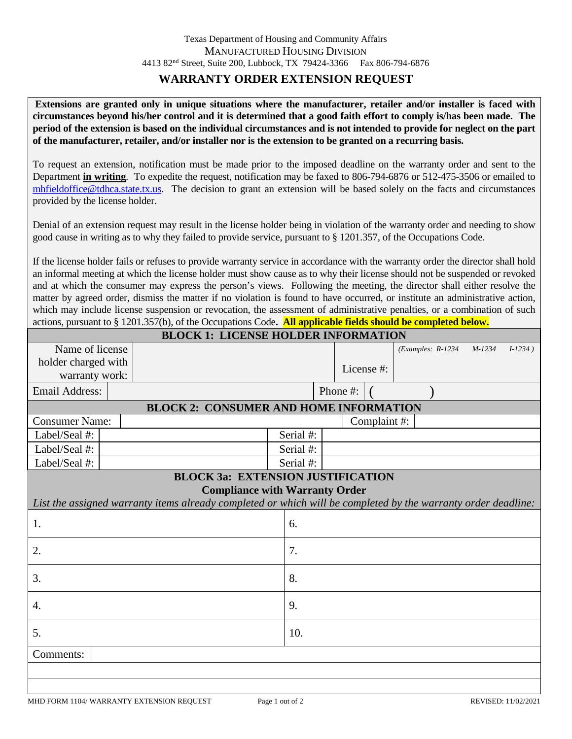## **WARRANTY ORDER EXTENSION REQUEST**

**Extensions are granted only in unique situations where the manufacturer, retailer and/or installer is faced with circumstances beyond his/her control and it is determined that a good faith effort to comply is/has been made. The period of the extension is based on the individual circumstances and is not intended to provide for neglect on the part of the manufacturer, retailer, and/or installer nor is the extension to be granted on a recurring basis.**

To request an extension, notification must be made prior to the imposed deadline on the warranty order and sent to the Department **in writing**. To expedite the request, notification may be faxed to 806-794-6876 or 512-475-3506 or emailed to [mhfieldoffice@tdhca.state.tx.us.](mailto:mhfieldoffice@tdhca.state.tx.us) The decision to grant an extension will be based solely on the facts and circumstances provided by the license holder.

Denial of an extension request may result in the license holder being in violation of the warranty order and needing to show good cause in writing as to why they failed to provide service, pursuant to § 1201.357, of the Occupations Code.

If the license holder fails or refuses to provide warranty service in accordance with the warranty order the director shall hold an informal meeting at which the license holder must show cause as to why their license should not be suspended or revoked and at which the consumer may express the person's views. Following the meeting, the director shall either resolve the matter by agreed order, dismiss the matter if no violation is found to have occurred, or institute an administrative action, which may include license suspension or revocation, the assessment of administrative penalties, or a combination of such actions, pursuant to § 1201.357(b), of the Occupations Code**. All applicable fields should be completed below.**

| <b>BLOCK 1: LICENSE HOLDER INFORMATION</b>                                                                    |  |           |  |            |              |                     |          |            |  |  |
|---------------------------------------------------------------------------------------------------------------|--|-----------|--|------------|--------------|---------------------|----------|------------|--|--|
| Name of license                                                                                               |  |           |  |            |              | $(EXamples: R-1234$ | $M-1234$ | $I-1234$ ) |  |  |
| holder charged with                                                                                           |  |           |  | License #: |              |                     |          |            |  |  |
| warranty work:                                                                                                |  |           |  |            |              |                     |          |            |  |  |
| <b>Email Address:</b>                                                                                         |  | Phone #:  |  |            |              |                     |          |            |  |  |
| <b>BLOCK 2: CONSUMER AND HOME INFORMATION</b>                                                                 |  |           |  |            |              |                     |          |            |  |  |
| <b>Consumer Name:</b>                                                                                         |  |           |  |            | Complaint #: |                     |          |            |  |  |
| Label/Seal #:                                                                                                 |  | Serial #: |  |            |              |                     |          |            |  |  |
| Label/Seal #:                                                                                                 |  | Serial #: |  |            |              |                     |          |            |  |  |
| Label/Seal #:                                                                                                 |  | Serial #: |  |            |              |                     |          |            |  |  |
| <b>BLOCK 3a: EXTENSION JUSTIFICATION</b>                                                                      |  |           |  |            |              |                     |          |            |  |  |
| <b>Compliance with Warranty Order</b>                                                                         |  |           |  |            |              |                     |          |            |  |  |
| List the assigned warranty items already completed or which will be completed by the warranty order deadline: |  |           |  |            |              |                     |          |            |  |  |
| 1.                                                                                                            |  | 6.        |  |            |              |                     |          |            |  |  |
| 2.                                                                                                            |  | 7.        |  |            |              |                     |          |            |  |  |
| 3.                                                                                                            |  | 8.        |  |            |              |                     |          |            |  |  |
| 4.                                                                                                            |  | 9.        |  |            |              |                     |          |            |  |  |
|                                                                                                               |  |           |  |            |              |                     |          |            |  |  |
| 5.                                                                                                            |  | 10.       |  |            |              |                     |          |            |  |  |
| Comments:                                                                                                     |  |           |  |            |              |                     |          |            |  |  |
|                                                                                                               |  |           |  |            |              |                     |          |            |  |  |
|                                                                                                               |  |           |  |            |              |                     |          |            |  |  |